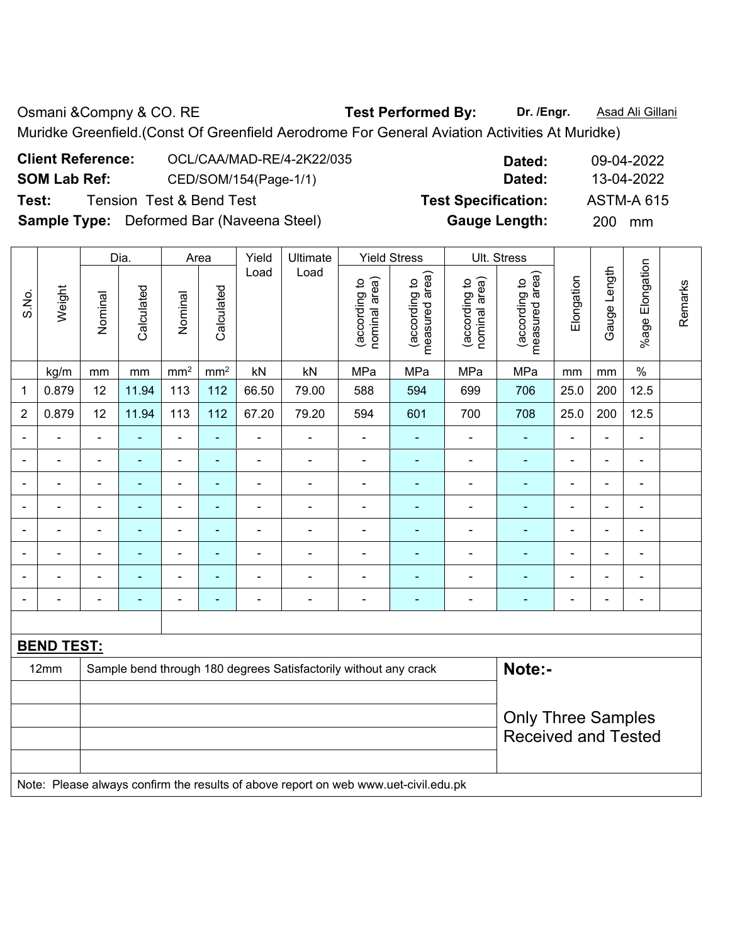Osmani &Compny & CO. RE **Test Performed By:** Dr. /Engr. **Asad Ali Gillani** Muridke Greenfield.(Const Of Greenfield Aerodrome For General Aviation Activities At Muridke)

| <b>Client Reference:</b> | OCL/CAA/MAD-RE/4-2K22/035                        | Dated:                     | 09-04-2022        |
|--------------------------|--------------------------------------------------|----------------------------|-------------------|
| <b>SOM Lab Ref:</b>      | CED/SOM/154(Page-1/1)                            | Dated:                     | 13-04-2022        |
| Test:                    | Tension Test & Bend Test                         | <b>Test Specification:</b> | <b>ASTM-A 615</b> |
|                          | <b>Sample Type:</b> Deformed Bar (Naveena Steel) | <b>Gauge Length:</b>       | 200 mm            |

|                          |                   |                | Dia.                     |                              | Area                     | Yield                    | Ultimate                                                         |                                | <b>Yield Stress</b>             |                                | Ult. Stress                     |                          |                |                          |         |
|--------------------------|-------------------|----------------|--------------------------|------------------------------|--------------------------|--------------------------|------------------------------------------------------------------|--------------------------------|---------------------------------|--------------------------------|---------------------------------|--------------------------|----------------|--------------------------|---------|
| S.No.                    | Weight            | Nominal        | Calculated               | Nominal                      | Calculated               | Load                     | Load                                                             | (according to<br>nominal area) | (according to<br>measured area) | (according to<br>nominal area) | measured area)<br>(according to | Elongation               | Gauge Length   | Elongation<br>%age F     | Remarks |
|                          | kg/m              | mm             | mm                       | mm <sup>2</sup>              | mm <sup>2</sup>          | kN                       | kN                                                               | MPa                            | MPa                             | MPa                            | MPa                             | mm                       | mm             | $\%$                     |         |
| 1                        | 0.879             | 12             | 11.94                    | 113                          | 112                      | 66.50                    | 79.00                                                            | 588                            | 594                             | 699                            | 706                             | 25.0                     | 200            | 12.5                     |         |
| $\overline{2}$           | 0.879             | 12             | 11.94                    | 113                          | 112                      | 67.20                    | 79.20                                                            | 594                            | 601                             | 700                            | 708                             | 25.0                     | 200            | 12.5                     |         |
|                          |                   |                |                          | $\qquad \qquad \blacksquare$ | $\blacksquare$           | ÷                        | $\blacksquare$                                                   | $\blacksquare$                 | ۰                               | $\blacksquare$                 | $\blacksquare$                  |                          | $\blacksquare$ | $\blacksquare$           |         |
| $\blacksquare$           | $\blacksquare$    | $\blacksquare$ | $\blacksquare$           | $\blacksquare$               | ٠                        | $\overline{\phantom{a}}$ | $\qquad \qquad \blacksquare$                                     | $\blacksquare$                 | ä,                              | $\blacksquare$                 | $\blacksquare$                  | $\overline{\phantom{a}}$ | $\blacksquare$ | $\blacksquare$           |         |
|                          | ÷                 |                | $\blacksquare$           | ۰                            | $\blacksquare$           | ÷                        | $\blacksquare$                                                   | $\blacksquare$                 | ÷,                              | $\blacksquare$                 | $\blacksquare$                  |                          | $\blacksquare$ | $\overline{\phantom{a}}$ |         |
|                          | $\blacksquare$    |                | $\blacksquare$           | ۰                            | ٠                        | $\blacksquare$           | $\blacksquare$                                                   |                                | ۰                               |                                | $\blacksquare$                  |                          | Ē,             | ÷                        |         |
| $\blacksquare$           | $\blacksquare$    | $\blacksquare$ | $\blacksquare$           | $\overline{\phantom{0}}$     | ٠                        | ä,                       | $\blacksquare$                                                   | $\blacksquare$                 | ÷,                              | $\blacksquare$                 | $\blacksquare$                  | $\blacksquare$           | $\blacksquare$ | $\overline{\phantom{a}}$ |         |
|                          | $\blacksquare$    | $\blacksquare$ | $\overline{\phantom{a}}$ | $\overline{\phantom{0}}$     | $\blacksquare$           | ÷                        | $\blacksquare$                                                   | $\blacksquare$                 | ۰                               | $\blacksquare$                 | $\overline{\phantom{0}}$        | $\blacksquare$           | $\blacksquare$ | $\overline{\phantom{0}}$ |         |
|                          |                   |                |                          | $\qquad \qquad \blacksquare$ | $\overline{\phantom{0}}$ | $\blacksquare$           | $\blacksquare$                                                   |                                | $\blacksquare$                  |                                | $\blacksquare$                  |                          | $\blacksquare$ | ۰                        |         |
| $\overline{\phantom{0}}$ | ۰                 | $\overline{a}$ | ٠                        | ٠                            | ٠                        | $\overline{a}$           | $\qquad \qquad \blacksquare$                                     | $\overline{\phantom{0}}$       | ۰                               | $\overline{\phantom{0}}$       | ۰                               | $\blacksquare$           | $\blacksquare$ | $\blacksquare$           |         |
|                          |                   |                |                          |                              |                          |                          |                                                                  |                                |                                 |                                |                                 |                          |                |                          |         |
|                          | <b>BEND TEST:</b> |                |                          |                              |                          |                          |                                                                  |                                |                                 |                                |                                 |                          |                |                          |         |
|                          | 12mm              |                |                          |                              |                          |                          | Sample bend through 180 degrees Satisfactorily without any crack |                                |                                 |                                | Note:-                          |                          |                |                          |         |
|                          |                   |                |                          |                              |                          |                          |                                                                  |                                |                                 |                                |                                 |                          |                |                          |         |
|                          |                   |                |                          |                              |                          |                          |                                                                  |                                |                                 |                                | <b>Only Three Samples</b>       |                          |                |                          |         |
|                          |                   |                |                          |                              |                          |                          |                                                                  |                                |                                 |                                | <b>Received and Tested</b>      |                          |                |                          |         |
|                          |                   |                |                          |                              |                          |                          |                                                                  |                                |                                 |                                |                                 |                          |                |                          |         |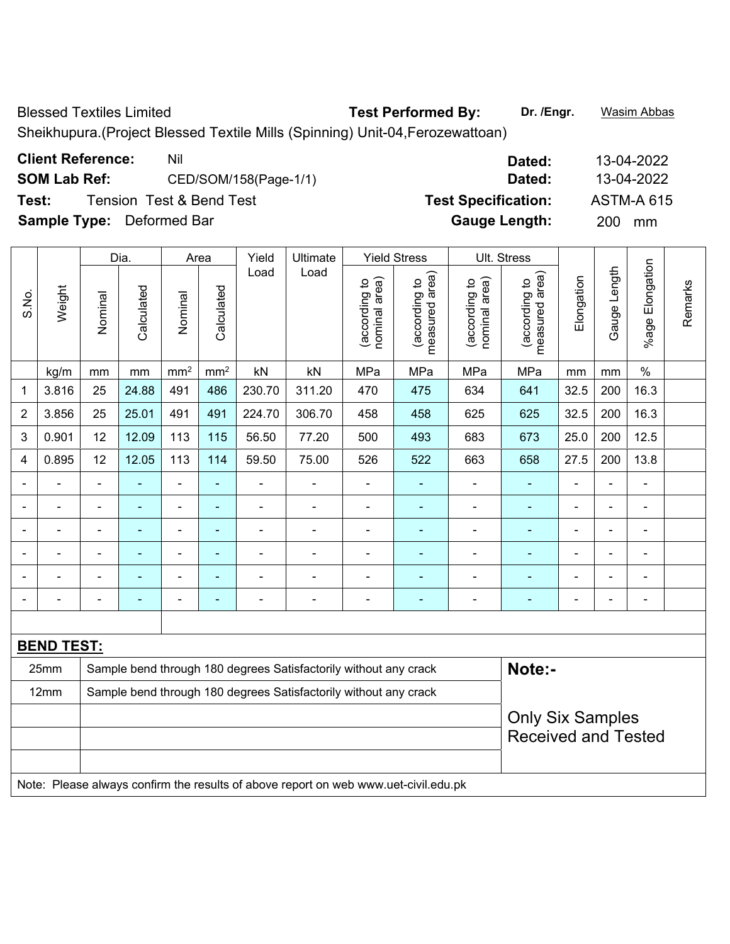Blessed Textiles Limited **Test Performed By: Dr. /Engr.** Wasim Abbas

Sheikhupura.(Project Blessed Textile Mills (Spinning) Unit-04,Ferozewattoan)

| <b>Client Reference:</b>         | Nil                                 | Dated:                     | 13-04-2022        |
|----------------------------------|-------------------------------------|----------------------------|-------------------|
| <b>SOM Lab Ref:</b>              | CED/SOM/158(Page-1/1)               | Dated:                     | 13-04-2022        |
| Test:                            | <b>Tension Test &amp; Bend Test</b> | <b>Test Specification:</b> | <b>ASTM-A 615</b> |
| <b>Sample Type:</b> Deformed Bar |                                     | <b>Gauge Length:</b>       | <b>200</b><br>mm  |
|                                  |                                     |                            |                   |

|                |                   |                | Dia.                     |                          | Area            | Yield                    | Ultimate                                                         |                                | <b>Yield Stress</b>             |                                | Ult. Stress                     |                |                |                          |         |
|----------------|-------------------|----------------|--------------------------|--------------------------|-----------------|--------------------------|------------------------------------------------------------------|--------------------------------|---------------------------------|--------------------------------|---------------------------------|----------------|----------------|--------------------------|---------|
| S.No.          | Weight            | Nominal        | Calculated               | Nominal                  | Calculated      | Load                     | Load                                                             | nominal area)<br>(according to | measured area)<br>(according to | nominal area)<br>(according to | measured area)<br>(according to | Elongation     | Gauge Length   | %age Elongation          | Remarks |
|                | kg/m              | mm             | mm                       | mm <sup>2</sup>          | mm <sup>2</sup> | kN                       | kN                                                               | MPa                            | MPa                             | MPa                            | MPa                             | mm             | mm             | $\%$                     |         |
| $\mathbf 1$    | 3.816             | 25             | 24.88                    | 491                      | 486             | 230.70                   | 311.20                                                           | 470                            | 475                             | 634                            | 641                             | 32.5           | 200            | 16.3                     |         |
| $\overline{2}$ | 3.856             | 25             | 25.01                    | 491                      | 491             | 224.70                   | 306.70                                                           | 458                            | 458                             | 625                            | 625                             | 32.5           | 200            | 16.3                     |         |
| 3              | 0.901             | 12             | 12.09                    | 113                      | 115             | 56.50                    | 77.20                                                            | 500                            | 493                             | 683                            | 673                             | 25.0           | 200            | 12.5                     |         |
| 4              | 0.895             | 12             | 12.05                    | 113                      | 114             | 59.50                    | 75.00                                                            | 526                            | 522                             | 663                            | 658                             | 27.5           | 200            | 13.8                     |         |
| $\blacksquare$ | $\blacksquare$    | $\blacksquare$ | $\blacksquare$           | $\blacksquare$           | $\blacksquare$  | $\blacksquare$           | $\blacksquare$                                                   | $\blacksquare$                 | ۰                               | ۰                              | $\overline{\phantom{0}}$        | $\blacksquare$ | $\blacksquare$ | $\blacksquare$           |         |
|                | $\blacksquare$    | $\blacksquare$ | $\blacksquare$           | $\blacksquare$           | $\blacksquare$  | ä,                       | $\blacksquare$                                                   | $\blacksquare$                 | $\blacksquare$                  | ÷,                             | $\blacksquare$                  |                | L,             | $\blacksquare$           |         |
|                | $\overline{a}$    |                | $\blacksquare$           | $\blacksquare$           | $\blacksquare$  | ۰                        |                                                                  | $\blacksquare$                 | ÷                               | $\blacksquare$                 |                                 |                | $\blacksquare$ | $\overline{\phantom{0}}$ |         |
| $\blacksquare$ |                   |                | $\overline{\phantom{0}}$ | $\blacksquare$           | $\blacksquare$  | $\overline{\phantom{0}}$ | $\blacksquare$                                                   | $\qquad \qquad \blacksquare$   | $\overline{\phantom{0}}$        | ÷                              | ۰                               | ä,             |                | $\blacksquare$           |         |
| ۳              | ۰                 | $\blacksquare$ | $\blacksquare$           | $\overline{\phantom{a}}$ | ٠               | $\overline{\phantom{0}}$ | $\blacksquare$                                                   | $\blacksquare$                 | ÷                               | $\blacksquare$                 | ۰                               | $\blacksquare$ | $\blacksquare$ | $\blacksquare$           |         |
|                | L,                | $\blacksquare$ | $\blacksquare$           | $\blacksquare$           | $\blacksquare$  | ÷                        | $\blacksquare$                                                   | $\blacksquare$                 | $\blacksquare$                  | ä,                             | $\blacksquare$                  | $\blacksquare$ | L,             | $\overline{\phantom{a}}$ |         |
|                |                   |                |                          |                          |                 |                          |                                                                  |                                |                                 |                                |                                 |                |                |                          |         |
|                | <b>BEND TEST:</b> |                |                          |                          |                 |                          |                                                                  |                                |                                 |                                |                                 |                |                |                          |         |
|                | 25mm              |                |                          |                          |                 |                          | Sample bend through 180 degrees Satisfactorily without any crack |                                |                                 |                                | Note:-                          |                |                |                          |         |
|                | 12mm              |                |                          |                          |                 |                          | Sample bend through 180 degrees Satisfactorily without any crack |                                |                                 |                                |                                 |                |                |                          |         |
|                |                   |                |                          |                          |                 |                          |                                                                  |                                |                                 |                                | <b>Only Six Samples</b>         |                |                |                          |         |
|                |                   |                |                          |                          |                 |                          |                                                                  |                                |                                 |                                | <b>Received and Tested</b>      |                |                |                          |         |
|                |                   |                |                          |                          |                 |                          |                                                                  |                                |                                 |                                |                                 |                |                |                          |         |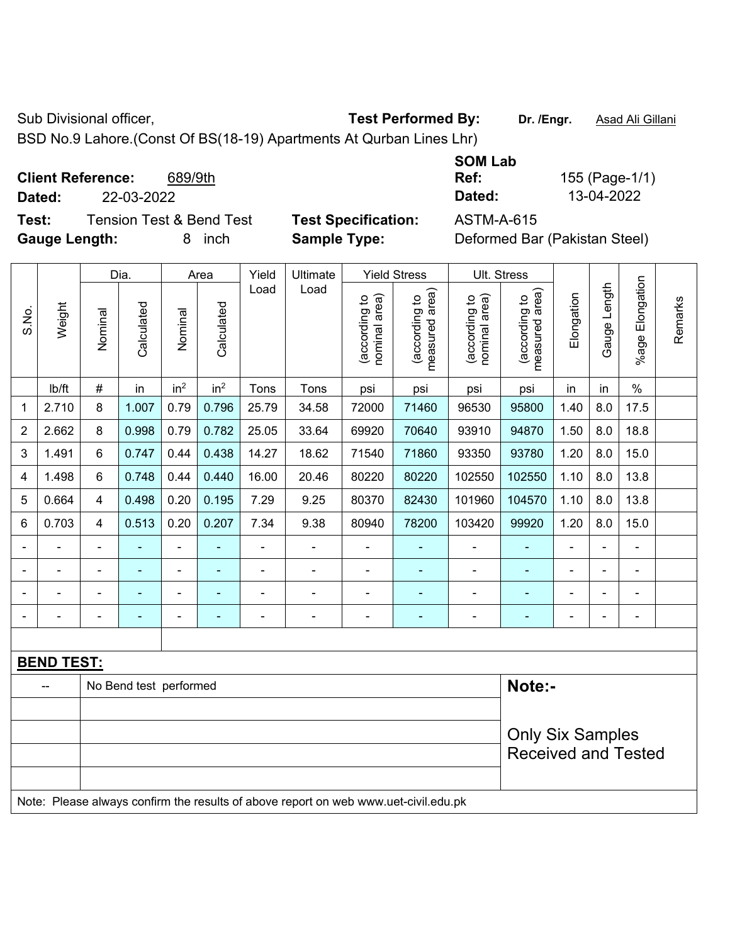Sub Divisional officer, **Test Performed By:** Dr. /Engr. **Asad Ali Gillani** Associated By: Dr. /Engr. **Asad Ali Gillani** 

BSD No.9 Lahore.(Const Of BS(18-19) Apartments At Qurban Lines Lhr)

**Client Reference:** 689/9th

**Dated:** 22-03-2022 **Dated:** 13-04-2022

**Test:** Tension Test & Bend Test **Test Specification:** ASTM-A-615 **Gauge Length:** 8 inch **Sample Type:** Deformed Bar (Pakistan Steel)

| <b>SOM Lab</b>           |                |
|--------------------------|----------------|
| Ref:                     | 155 (Page-1/1) |
| Dated:                   | 13-04-2022     |
| 8 <del>0 T</del> M & OAF |                |

|                |                   |                | Dia.                   |                 | Area            | Yield | Ultimate                                                                            |                                | <b>Yield Stress</b>             | Ult. Stress                    |                                 |                |                |                 |         |
|----------------|-------------------|----------------|------------------------|-----------------|-----------------|-------|-------------------------------------------------------------------------------------|--------------------------------|---------------------------------|--------------------------------|---------------------------------|----------------|----------------|-----------------|---------|
| S.No.          | Weight            | Nominal        | Calculated             | Nominal         | Calculated      | Load  | Load                                                                                | nominal area)<br>(according to | measured area)<br>(according to | nominal area)<br>(according to | measured area)<br>(according to | Elongation     | Gauge Length   | %age Elongation | Remarks |
|                | Ib/ft             | #              | in                     | in <sup>2</sup> | in <sup>2</sup> | Tons  | Tons                                                                                | psi                            | psi                             | psi                            | psi                             | in             | in             | $\%$            |         |
| 1              | 2.710             | 8              | 1.007                  | 0.79            | 0.796           | 25.79 | 34.58                                                                               | 72000                          | 71460                           | 96530                          | 95800                           | 1.40           | 8.0            | 17.5            |         |
| $\overline{2}$ | 2.662             | 8              | 0.998                  | 0.79            | 0.782           | 25.05 | 33.64                                                                               | 69920                          | 70640                           | 93910                          | 94870                           | 1.50           | 8.0            | 18.8            |         |
| 3              | 1.491             | 6              | 0.747                  | 0.44            | 0.438           | 14.27 | 18.62                                                                               | 71540                          | 71860                           | 93350                          | 93780                           | 1.20           | 8.0            | 15.0            |         |
| 4              | 1.498             | 6              | 0.748                  | 0.44            | 0.440           | 16.00 | 20.46                                                                               | 80220                          | 80220                           | 102550                         | 102550                          | 1.10           | 8.0            | 13.8            |         |
| 5              | 0.664             | 4              | 0.498                  | 0.20            | 0.195           | 7.29  | 9.25                                                                                | 80370                          | 82430                           | 101960                         | 104570                          | 1.10           | 8.0            | 13.8            |         |
| 6              | 0.703             | 4              | 0.513                  | 0.20            | 0.207           | 7.34  | 9.38                                                                                | 80940                          | 78200                           | 103420                         | 99920                           | 1.20           | 8.0            | 15.0            |         |
|                | ÷,                | $\blacksquare$ | ÷                      | ÷,              |                 | ä,    | $\blacksquare$                                                                      | ä,                             |                                 |                                | ٠                               | $\blacksquare$ | $\blacksquare$ | $\blacksquare$  |         |
|                | ä,                | ä,             | ٠                      | ۰               |                 | ä,    | $\blacksquare$                                                                      | L.                             | $\blacksquare$                  | -                              | ۰                               | $\blacksquare$ | $\blacksquare$ | $\blacksquare$  |         |
|                | $\blacksquare$    | $\blacksquare$ | ÷,                     | $\blacksquare$  | ۰               | ÷     | ÷,                                                                                  | $\blacksquare$                 | $\sim$                          | $\blacksquare$                 | Ξ                               | $\blacksquare$ |                | $\blacksquare$  |         |
|                |                   |                | ٠                      | ÷,              |                 |       | $\blacksquare$                                                                      |                                | $\blacksquare$                  | ä,                             | ٠                               |                |                | $\blacksquare$  |         |
|                |                   |                |                        |                 |                 |       |                                                                                     |                                |                                 |                                |                                 |                |                |                 |         |
|                | <b>BEND TEST:</b> |                |                        |                 |                 |       |                                                                                     |                                |                                 |                                |                                 |                |                |                 |         |
|                |                   |                | No Bend test performed |                 |                 |       |                                                                                     |                                |                                 |                                | Note:-                          |                |                |                 |         |
|                |                   |                |                        |                 |                 |       |                                                                                     |                                |                                 |                                |                                 |                |                |                 |         |
|                |                   |                |                        |                 |                 |       |                                                                                     |                                |                                 |                                | <b>Only Six Samples</b>         |                |                |                 |         |
|                |                   |                |                        |                 |                 |       |                                                                                     |                                |                                 |                                | <b>Received and Tested</b>      |                |                |                 |         |
|                |                   |                |                        |                 |                 |       | Note: Please always confirm the results of above report on web www.uet-civil.edu.pk |                                |                                 |                                |                                 |                |                |                 |         |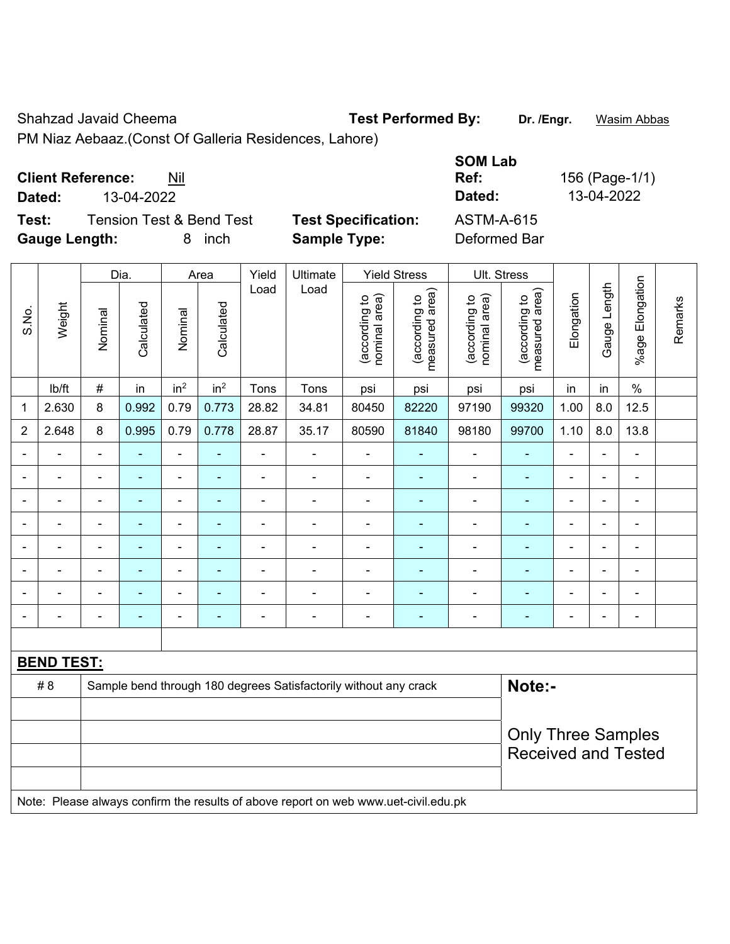Shahzad Javaid Cheema **Test Performed By:** Dr. /Engr. **Wasim Abbas** 

PM Niaz Aebaaz.(Const Of Galleria Residences, Lahore)

|  | <b>Client Reference:</b> | Nil |
|--|--------------------------|-----|
|--|--------------------------|-----|

**Dated:** 13-04-2022 **Dated:** 13-04-2022

**Test:** Tension Test & Bend Test Test Specification: Gauge Length: **8** inch **Sample Type:** 

| <b>SOM Lab</b><br>Ref:<br>Dated:  | 156 (Page-1/1)<br>13-04-2022 |
|-----------------------------------|------------------------------|
| <b>ASTM-A-615</b><br>Deformed Bar |                              |

|                |                          |                | Dia.           |                          | Area            | Yield                    | Ultimate                                                                            |                                | <b>Yield Stress</b>             |                                | <b>Ult. Stress</b>              |                          |                |                       |         |
|----------------|--------------------------|----------------|----------------|--------------------------|-----------------|--------------------------|-------------------------------------------------------------------------------------|--------------------------------|---------------------------------|--------------------------------|---------------------------------|--------------------------|----------------|-----------------------|---------|
| S.No.          | Weight                   | Nominal        | Calculated     | Nominal                  | Calculated      | Load                     | Load                                                                                | nominal area)<br>(according to | (according to<br>measured area) | (according to<br>nominal area) | (according to<br>measured area) | Elongation               | Gauge Length   | Elongation<br>$%$ age | Remarks |
|                | lb/ft                    | #              | in             | in <sup>2</sup>          | in <sup>2</sup> | Tons                     | Tons                                                                                | psi                            | psi                             | psi                            | psi                             | in                       | in             | $\frac{0}{0}$         |         |
| 1              | 2.630                    | 8              | 0.992          | 0.79                     | 0.773           | 28.82                    | 34.81                                                                               | 80450                          | 82220                           | 97190                          | 99320                           | 1.00                     | 8.0            | 12.5                  |         |
| $\overline{2}$ | 2.648                    | 8              | 0.995          | 0.79                     | 0.778           | 28.87                    | 35.17                                                                               | 80590                          | 81840                           | 98180                          | 99700                           | 1.10                     | 8.0            | 13.8                  |         |
| $\blacksquare$ | ä,                       | $\blacksquare$ | $\frac{1}{2}$  | $\blacksquare$           | ÷               | $\blacksquare$           | $\blacksquare$                                                                      | $\blacksquare$                 | $\blacksquare$                  | $\blacksquare$                 | ۰                               | $\blacksquare$           | $\blacksquare$ | $\blacksquare$        |         |
| $\blacksquare$ | ä,                       | $\blacksquare$ | ÷,             | $\overline{\phantom{a}}$ | ÷               | $\blacksquare$           | $\qquad \qquad \blacksquare$                                                        | $\blacksquare$                 | $\blacksquare$                  | $\blacksquare$                 | $\blacksquare$                  | $\overline{\phantom{a}}$ | $\blacksquare$ | $\blacksquare$        |         |
| $\blacksquare$ | ÷.                       | $\blacksquare$ | ÷,             | $\blacksquare$           | ٠               | $\blacksquare$           | $\blacksquare$                                                                      | $\blacksquare$                 | $\blacksquare$                  | $\blacksquare$                 | $\blacksquare$                  | $\blacksquare$           |                | $\blacksquare$        |         |
| Ē,             | ÷.                       | $\blacksquare$ | $\blacksquare$ | $\blacksquare$           | ä,              | ä,                       | $\blacksquare$                                                                      | $\blacksquare$                 | ۰                               | $\blacksquare$                 | $\blacksquare$                  | ä,                       |                | $\blacksquare$        |         |
|                |                          |                |                |                          |                 |                          | $\blacksquare$                                                                      | $\blacksquare$                 | $\blacksquare$                  | ۰                              | $\blacksquare$                  | $\blacksquare$           |                | $\blacksquare$        |         |
|                | $\blacksquare$           | $\blacksquare$ | $\blacksquare$ | $\blacksquare$           | $\blacksquare$  | $\blacksquare$           | $\blacksquare$                                                                      | ä,                             | ٠                               | $\blacksquare$                 | ä,                              | $\blacksquare$           |                | $\blacksquare$        |         |
| ÷              | ÷                        | L,             |                | $\overline{a}$           |                 |                          | $\blacksquare$                                                                      | ÷                              | $\blacksquare$                  | ÷                              | ÷                               |                          |                | ÷                     |         |
| $\blacksquare$ | $\overline{\phantom{0}}$ | $\blacksquare$ | $\blacksquare$ | $\overline{\phantom{a}}$ | ٠               | $\overline{\phantom{a}}$ | $\blacksquare$                                                                      | $\blacksquare$                 | $\blacksquare$                  | $\blacksquare$                 | ÷,                              | $\blacksquare$           |                | $\blacksquare$        |         |
|                |                          |                |                |                          |                 |                          |                                                                                     |                                |                                 |                                |                                 |                          |                |                       |         |
|                | <b>BEND TEST:</b>        |                |                |                          |                 |                          |                                                                                     |                                |                                 |                                |                                 |                          |                |                       |         |
|                | # 8                      |                |                |                          |                 |                          | Sample bend through 180 degrees Satisfactorily without any crack                    |                                |                                 |                                | Note:-                          |                          |                |                       |         |
|                |                          |                |                |                          |                 |                          |                                                                                     |                                |                                 |                                |                                 |                          |                |                       |         |
|                |                          |                |                |                          |                 |                          |                                                                                     |                                |                                 |                                | <b>Only Three Samples</b>       |                          |                |                       |         |
|                |                          |                |                |                          |                 |                          |                                                                                     |                                |                                 |                                | <b>Received and Tested</b>      |                          |                |                       |         |
|                |                          |                |                |                          |                 |                          |                                                                                     |                                |                                 |                                |                                 |                          |                |                       |         |
|                |                          |                |                |                          |                 |                          | Note: Please always confirm the results of above report on web www.uet-civil.edu.pk |                                |                                 |                                |                                 |                          |                |                       |         |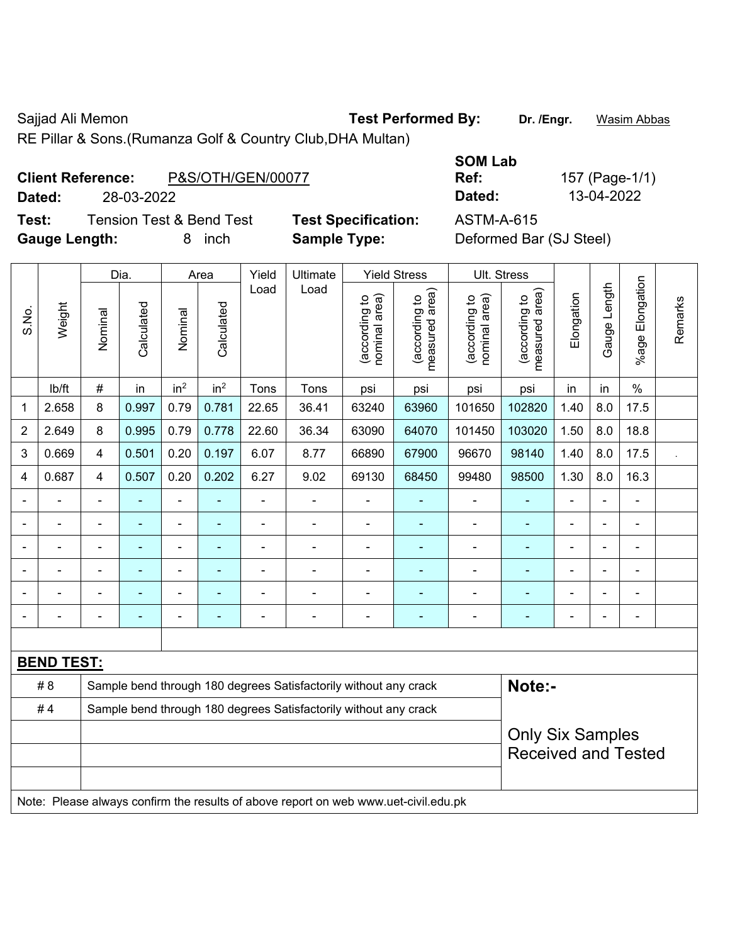Sajjad Ali Memon **Test Performed By:** Dr. /Engr. **Wasim Abbas** 

RE Pillar & Sons.(Rumanza Golf & Country Club,DHA Multan)

## **Client Reference:** P&S/OTH/GEN/00077

**Test:** Tension Test & Bend Test **Test Specification:** ASTM-**Gauge Length:** 8 inch **Sample Type:** Deformed Bar (SJ Steel)

|        |                                               |                            | <b>SOM Lab</b> |                |
|--------|-----------------------------------------------|----------------------------|----------------|----------------|
|        | <b>Client Reference:</b><br>P&S/OTH/GEN/00077 |                            | Ref:           | 157 (Page-1/1) |
| Dated: | 28-03-2022                                    |                            | Dated:         | 13-04-2022     |
| Test:  | Tension Test & Bend Test.                     | <b>Test Specification:</b> | ASTM-A-615     |                |

|                |                   |                          | Dia.           |                 | Area            | Yield          | Ultimate                                                                            |                               | <b>Yield Stress</b>             |                                | Ult. Stress                                           |                |              |                         |         |
|----------------|-------------------|--------------------------|----------------|-----------------|-----------------|----------------|-------------------------------------------------------------------------------------|-------------------------------|---------------------------------|--------------------------------|-------------------------------------------------------|----------------|--------------|-------------------------|---------|
| S.No.          | Weight            | Nominal                  | Calculated     | Nominal         | Calculated      | Load           | Load                                                                                | nominal area)<br>according to | (according to<br>measured area) | (according to<br>nominal area) | (according to<br>measured area)                       | Elongation     | Gauge Length | Elongation<br>$%$ age I | Remarks |
|                | lb/ft             | #                        | in             | in <sup>2</sup> | in <sup>2</sup> | Tons           | Tons                                                                                | psi                           | psi                             | psi                            | psi                                                   | in             | in           | $\frac{0}{0}$           |         |
| 1              | 2.658             | 8                        | 0.997          | 0.79            | 0.781           | 22.65          | 36.41                                                                               | 63240                         | 63960                           | 101650                         | 102820                                                | 1.40           | 8.0          | 17.5                    |         |
| $\overline{2}$ | 2.649             | 8                        | 0.995          | 0.79            | 0.778           | 22.60          | 36.34                                                                               | 63090                         | 64070                           | 101450                         | 103020                                                | 1.50           | 8.0          | 18.8                    |         |
| 3              | 0.669             | $\overline{4}$           | 0.501          | 0.20            | 0.197           | 6.07           | 8.77                                                                                | 66890                         | 67900                           | 96670                          | 98140                                                 | 1.40           | 8.0          | 17.5                    |         |
| 4              | 0.687             | 4                        | 0.507          | 0.20            | 0.202           | 6.27           | 9.02                                                                                | 69130                         | 68450                           | 99480                          | 98500                                                 | 1.30           | 8.0          | 16.3                    |         |
|                | ÷                 | $\overline{\phantom{a}}$ | ÷,             | $\blacksquare$  | $\blacksquare$  | $\blacksquare$ | $\frac{1}{2}$                                                                       | $\blacksquare$                | $\blacksquare$                  | $\blacksquare$                 | $\blacksquare$                                        | $\blacksquare$ | ÷.           | $\overline{a}$          |         |
|                | ÷                 | $\blacksquare$           | $\blacksquare$ | $\blacksquare$  |                 | ÷,             | ÷,                                                                                  | $\blacksquare$                |                                 | ÷,                             | ÷,                                                    | ä,             |              | $\blacksquare$          |         |
|                | ä,                | $\overline{\phantom{a}}$ | $\blacksquare$ | $\blacksquare$  | ۰               | L,             | $\frac{1}{2}$                                                                       | $\blacksquare$                | $\blacksquare$                  | $\blacksquare$                 | $\blacksquare$                                        | $\blacksquare$ |              | ÷,                      |         |
|                |                   |                          |                |                 |                 |                |                                                                                     |                               |                                 |                                | $\blacksquare$                                        |                |              |                         |         |
|                |                   |                          |                |                 |                 |                |                                                                                     |                               |                                 |                                |                                                       |                |              |                         |         |
|                |                   | $\blacksquare$           | ٠              | $\blacksquare$  |                 | Ē,             | $\blacksquare$                                                                      | $\blacksquare$                | ٠                               | $\blacksquare$                 | $\blacksquare$                                        | $\blacksquare$ |              | $\blacksquare$          |         |
|                |                   |                          |                |                 |                 |                |                                                                                     |                               |                                 |                                |                                                       |                |              |                         |         |
|                | <b>BEND TEST:</b> |                          |                |                 |                 |                |                                                                                     |                               |                                 |                                |                                                       |                |              |                         |         |
|                | # 8               |                          |                |                 |                 |                | Sample bend through 180 degrees Satisfactorily without any crack                    |                               |                                 |                                | Note:-                                                |                |              |                         |         |
|                | #4                |                          |                |                 |                 |                | Sample bend through 180 degrees Satisfactorily without any crack                    |                               |                                 |                                |                                                       |                |              |                         |         |
|                |                   |                          |                |                 |                 |                |                                                                                     |                               |                                 |                                | <b>Only Six Samples</b><br><b>Received and Tested</b> |                |              |                         |         |
|                |                   |                          |                |                 |                 |                | Note: Please always confirm the results of above report on web www.uet-civil.edu.pk |                               |                                 |                                |                                                       |                |              |                         |         |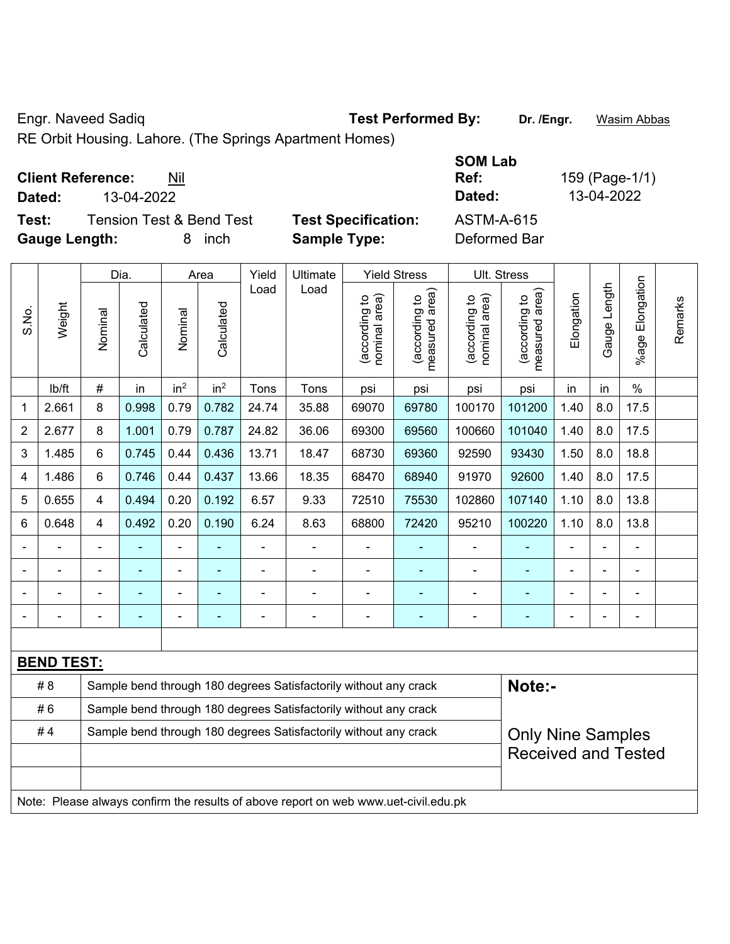Engr. Naveed Sadiq **Test Performed By: Dr. /Engr.** Wasim Abbas

RE Orbit Housing. Lahore. (The Springs Apartment Homes)

**Test:** Tension Test & Bend Test **Test Specification:** ASTM-A-615 **Gauge Length:** 8 inch **Sample Type:** Deformed Bar

**SOM Lab Ref:** 159 (Page-1/1) **Dated:** 13-04-2022 **Dated:** 13-04-2022

|                |                   |                                                                                              | Dia.       |                 | Area                     | Yield | Ultimate                                                                            |                               | <b>Yield Stress</b>             |                                | Ult. Stress                     |                |              |                       |         |
|----------------|-------------------|----------------------------------------------------------------------------------------------|------------|-----------------|--------------------------|-------|-------------------------------------------------------------------------------------|-------------------------------|---------------------------------|--------------------------------|---------------------------------|----------------|--------------|-----------------------|---------|
| S.No.          | Weight            | Nominal                                                                                      | Calculated | Nominal         | Calculated               | Load  | Load                                                                                | nominal area)<br>according to | (according to<br>measured area) | (according to<br>nominal area) | (according to<br>measured area) | Elongation     | Gauge Length | Elongation<br>$%$ age | Remarks |
|                | lb/ft             | #                                                                                            | in         | in <sup>2</sup> | in <sup>2</sup>          | Tons  | Tons                                                                                | psi                           | psi                             | psi                            | psi                             | in             | in           | $\frac{0}{0}$         |         |
| 1              | 2.661             | 8                                                                                            | 0.998      | 0.79            | 0.782                    | 24.74 | 35.88                                                                               | 69070                         | 69780                           | 100170                         | 101200                          | 1.40           | 8.0          | 17.5                  |         |
| $\overline{2}$ | 2.677             | 8                                                                                            | 1.001      | 0.79            | 0.787                    | 24.82 | 36.06                                                                               | 69300                         | 69560                           | 100660                         | 101040                          | 1.40           | 8.0          | 17.5                  |         |
| 3              | 1.485             | 6                                                                                            | 0.745      | 0.44            | 0.436                    | 13.71 | 18.47                                                                               | 68730                         | 69360                           | 92590                          | 93430                           | 1.50           | 8.0          | 18.8                  |         |
| 4              | 1.486             | 6                                                                                            | 0.746      | 0.44            | 0.437                    | 13.66 | 18.35                                                                               | 68470                         | 68940                           | 91970                          | 92600                           | 1.40           | 8.0          | 17.5                  |         |
| 5              | 0.655             | $\overline{4}$                                                                               | 0.494      | 0.20            | 0.192                    | 6.57  | 9.33                                                                                | 72510                         | 75530                           | 102860                         | 107140                          | 1.10           | 8.0          | 13.8                  |         |
| 6              | 0.648             | 4                                                                                            | 0.492      | 0.20            | 0.190                    | 6.24  | 8.63                                                                                | 68800                         | 72420                           | 95210                          | 100220                          | 1.10           | 8.0          | 13.8                  |         |
|                |                   |                                                                                              |            |                 |                          |       | L.                                                                                  | L,                            |                                 |                                |                                 |                |              | ÷                     |         |
|                |                   |                                                                                              |            | $\blacksquare$  |                          |       | $\blacksquare$                                                                      | $\blacksquare$                |                                 | $\blacksquare$                 |                                 |                |              | ä,                    |         |
|                |                   | $\blacksquare$                                                                               | ۰          | $\overline{a}$  | $\overline{\phantom{0}}$ |       | -                                                                                   | $\overline{a}$                | ٠                               | $\overline{a}$                 | ۳                               | $\blacksquare$ |              | -                     |         |
|                |                   |                                                                                              |            | ÷               | $\blacksquare$           | ÷     | $\overline{\phantom{0}}$                                                            | $\blacksquare$                | $\blacksquare$                  | $\overline{\phantom{a}}$       | $\blacksquare$                  | $\blacksquare$ |              | ÷                     |         |
|                |                   |                                                                                              |            |                 |                          |       |                                                                                     |                               |                                 |                                |                                 |                |              |                       |         |
|                | <b>BEND TEST:</b> |                                                                                              |            |                 |                          |       |                                                                                     |                               |                                 |                                |                                 |                |              |                       |         |
|                | # 8               |                                                                                              |            |                 |                          |       | Sample bend through 180 degrees Satisfactorily without any crack                    |                               |                                 |                                | Note:-                          |                |              |                       |         |
|                | #6                |                                                                                              |            |                 |                          |       | Sample bend through 180 degrees Satisfactorily without any crack                    |                               |                                 |                                |                                 |                |              |                       |         |
|                | #4                | Sample bend through 180 degrees Satisfactorily without any crack<br><b>Only Nine Samples</b> |            |                 |                          |       |                                                                                     |                               |                                 |                                |                                 |                |              |                       |         |
|                |                   |                                                                                              |            |                 |                          |       |                                                                                     |                               |                                 |                                | <b>Received and Tested</b>      |                |              |                       |         |
|                |                   |                                                                                              |            |                 |                          |       |                                                                                     |                               |                                 |                                |                                 |                |              |                       |         |
|                |                   |                                                                                              |            |                 |                          |       | Note: Please always confirm the results of above report on web www.uet-civil.edu.pk |                               |                                 |                                |                                 |                |              |                       |         |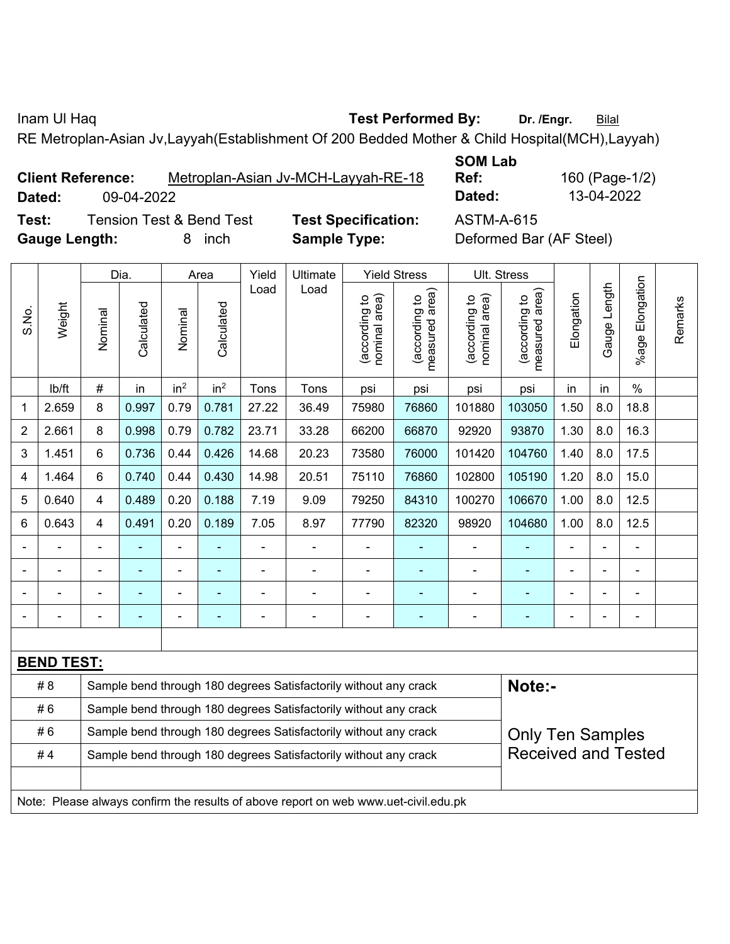Inam Ul Haq **Test Performed By:** Dr. /Engr. **Bilal** 

RE Metroplan-Asian Jv,Layyah(Establishment Of 200 Bedded Mother & Child Hospital(MCH),Layyah)

| <b>Client Reference:</b> |            | Metroplan-Asian Jv-MCH-Layyah-RE-18 | _ _ _ _ _ _ _ _<br>Ref: | 160 (Page-1/ |
|--------------------------|------------|-------------------------------------|-------------------------|--------------|
| Dated:                   | 09-04-2022 |                                     | Dated:                  | 13-04-2022   |

**Test:** Tension Test & Bend Test **Test Specification:** ASTM-A-615 **Gauge Length:** 8 inch **Sample Type:** Deformed Bar (AF Steel)

**SOM Lab Ref:** 160 (Page-1/2)

|                |                   |                                                                  | Dia.       |                 | Area            | Yield                                                            | Ultimate                                                         |                                | <b>Yield Stress</b>             | Ult. Stress                   |                                            |            |                |                          |         |
|----------------|-------------------|------------------------------------------------------------------|------------|-----------------|-----------------|------------------------------------------------------------------|------------------------------------------------------------------|--------------------------------|---------------------------------|-------------------------------|--------------------------------------------|------------|----------------|--------------------------|---------|
| S.No.          | Weight            | Nominal                                                          | Calculated | Nominal         | Calculated      | Load                                                             | Load                                                             | nominal area)<br>(according to | measured area)<br>(according to | nominal area)<br>according to | (acording to<br>neasured area)<br>measured | Elongation | Gauge Length   | Elongation<br>$%$ age    | Remarks |
|                | lb/ft             | $\#$                                                             | in         | in <sup>2</sup> | in <sup>2</sup> | Tons                                                             | Tons                                                             | psi                            | psi                             | psi                           | psi                                        | in         | in             | $\%$                     |         |
| 1              | 2.659             | 8                                                                | 0.997      | 0.79            | 0.781           | 27.22                                                            | 36.49                                                            | 75980                          | 76860                           | 101880                        | 103050                                     | 1.50       | 8.0            | 18.8                     |         |
| $\overline{2}$ | 2.661             | 8                                                                | 0.998      | 0.79            | 0.782           | 23.71                                                            | 33.28                                                            | 66200                          | 66870                           | 92920                         | 93870                                      | 1.30       | 8.0            | 16.3                     |         |
| 3              | 1.451             | 6                                                                | 0.736      | 0.44            | 0.426           | 14.68                                                            | 20.23                                                            | 73580                          | 76000                           | 101420                        | 104760                                     | 1.40       | 8.0            | 17.5                     |         |
| 4              | 1.464             | 6                                                                | 0.740      | 0.44            | 0.430           | 14.98                                                            | 20.51                                                            | 75110                          | 76860                           | 102800                        | 105190                                     | 1.20       | 8.0            | 15.0                     |         |
| 5              | 0.640             | $\overline{4}$                                                   | 0.489      | 0.20            | 0.188           | 7.19                                                             | 9.09                                                             | 79250                          | 84310                           | 100270                        | 106670                                     | 1.00       | 8.0            | 12.5                     |         |
| 6              | 0.643             | $\overline{4}$                                                   | 0.491      | 0.20            | 0.189           | 7.05                                                             | 8.97                                                             | 77790                          | 82320                           | 98920                         | 104680                                     | 1.00       | 8.0            | 12.5                     |         |
|                |                   | $\blacksquare$                                                   |            | $\blacksquare$  |                 | $\blacksquare$                                                   | $\blacksquare$                                                   | $\blacksquare$                 |                                 |                               |                                            |            |                |                          |         |
|                |                   | $\blacksquare$                                                   | -          |                 |                 | $\blacksquare$                                                   | ÷                                                                |                                |                                 | $\blacksquare$                | ÷                                          |            | $\blacksquare$ |                          |         |
|                |                   | $\blacksquare$                                                   | ÷,         | $\blacksquare$  | $\blacksquare$  | $\blacksquare$                                                   | $\blacksquare$                                                   | $\blacksquare$                 | ٠                               | $\blacksquare$                | ۰                                          | Ē,         | ä,             | $\blacksquare$           |         |
|                |                   | $\overline{a}$                                                   | ۰          | $\blacksquare$  | ٠               | $\blacksquare$                                                   | $\blacksquare$                                                   | $\overline{a}$                 |                                 | $\blacksquare$                | ÷                                          | Ē,         |                | $\overline{\phantom{a}}$ |         |
|                |                   |                                                                  |            |                 |                 |                                                                  |                                                                  |                                |                                 |                               |                                            |            |                |                          |         |
|                | <b>BEND TEST:</b> |                                                                  |            |                 |                 |                                                                  |                                                                  |                                |                                 |                               |                                            |            |                |                          |         |
|                | #8                |                                                                  |            |                 |                 | Sample bend through 180 degrees Satisfactorily without any crack |                                                                  | Note:-                         |                                 |                               |                                            |            |                |                          |         |
|                | #6                | Sample bend through 180 degrees Satisfactorily without any crack |            |                 |                 |                                                                  |                                                                  |                                |                                 |                               |                                            |            |                |                          |         |
|                | #6                |                                                                  |            |                 |                 |                                                                  | Sample bend through 180 degrees Satisfactorily without any crack |                                |                                 |                               | <b>Only Ten Samples</b>                    |            |                |                          |         |
|                | #4                |                                                                  |            |                 |                 |                                                                  | Sample bend through 180 degrees Satisfactorily without any crack |                                |                                 | <b>Received and Tested</b>    |                                            |            |                |                          |         |
|                |                   |                                                                  |            |                 |                 |                                                                  |                                                                  |                                |                                 |                               |                                            |            |                |                          |         |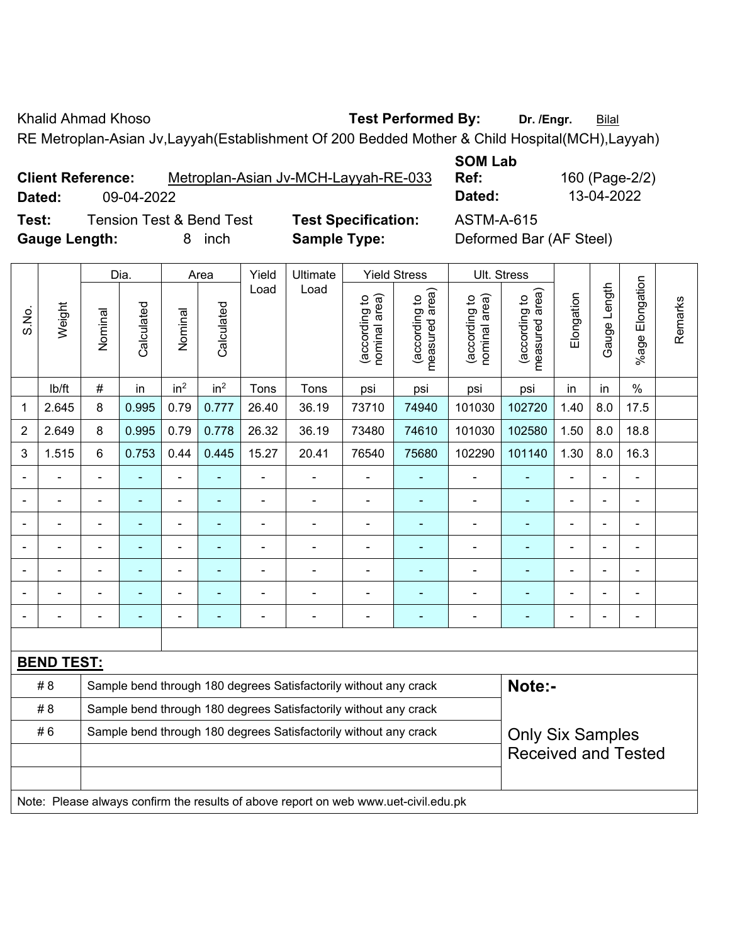Khalid Ahmad Khoso **Test Performed By:** Dr. /Engr. **Bilal** 

RE Metroplan-Asian Jv,Layyah(Establishment Of 200 Bedded Mother & Child Hospital(MCH),Layyah)

|        | <b>Client Reference:</b> |  | Metroplan-Asian Jv-MCH-Layyah-RE-033 |  |  |
|--------|--------------------------|--|--------------------------------------|--|--|
| Dated: | 09-04-2022               |  |                                      |  |  |
|        | _ . _                    |  |                                      |  |  |

**SOM Lab** 

**Ref:** 160 (Page-2/2) **Dated:** 09-04-2022 **Dated:** 13-04-2022

**Test:** Tension Test & Bend Test **Test Specification:** ASTM-A-615 **Gauge Length:** 8 inch **Sample Type:** Deformed Bar (AF Steel)

|                | Dia.<br>Area      |                |                                                                                             |                 |                 | Yield          | Ultimate                                                                            |                                | <b>Yield Stress</b>             |                                | Ult. Stress                     |                |              |                         |         |
|----------------|-------------------|----------------|---------------------------------------------------------------------------------------------|-----------------|-----------------|----------------|-------------------------------------------------------------------------------------|--------------------------------|---------------------------------|--------------------------------|---------------------------------|----------------|--------------|-------------------------|---------|
| S.No.          | Weight            | Nominal        | Calculated                                                                                  | Nominal         | Calculated      | Load           | Load                                                                                | nominal area)<br>(according to | (according to<br>measured area) | (according to<br>nominal area) | (according to<br>measured area) | Elongation     | Gauge Length | Elongation<br>$%$ age I | Remarks |
|                | lb/ft             | $\#$           | in                                                                                          | in <sup>2</sup> | in <sup>2</sup> | Tons           | Tons                                                                                | psi                            | psi                             | psi                            | psi                             | in             | in           | $\frac{0}{0}$           |         |
| 1              | 2.645             | 8              | 0.995                                                                                       | 0.79            | 0.777           | 26.40          | 36.19                                                                               | 73710                          | 74940                           | 101030                         | 102720                          | 1.40           | 8.0          | 17.5                    |         |
| $\overline{2}$ | 2.649             | 8              | 0.995                                                                                       | 0.79            | 0.778           | 26.32          | 36.19                                                                               | 73480                          | 74610                           | 101030                         | 102580                          | 1.50           | 8.0          | 18.8                    |         |
| 3              | 1.515             | 6              | 0.753                                                                                       | 0.44            | 0.445           | 15.27          | 20.41                                                                               | 76540                          | 75680                           | 102290                         | 101140                          | 1.30           | 8.0          | 16.3                    |         |
|                |                   | $\blacksquare$ |                                                                                             | $\overline{a}$  |                 | $\blacksquare$ | $\blacksquare$                                                                      | $\blacksquare$                 |                                 | $\blacksquare$                 | $\blacksquare$                  | $\blacksquare$ |              | ÷                       |         |
|                |                   | $\blacksquare$ | ÷,                                                                                          | ÷,              | $\blacksquare$  | $\blacksquare$ | $\blacksquare$                                                                      | $\blacksquare$                 | ٠                               | $\blacksquare$                 | ۰                               |                |              | $\blacksquare$          |         |
|                |                   | ä,             | ٠                                                                                           | $\blacksquare$  |                 | $\blacksquare$ | $\blacksquare$                                                                      | $\blacksquare$                 | ۰                               | $\blacksquare$                 | $\overline{\phantom{0}}$        | $\blacksquare$ |              | $\blacksquare$          |         |
|                | ä,                | $\blacksquare$ | $\blacksquare$                                                                              | ÷,              | $\blacksquare$  | $\blacksquare$ | $\blacksquare$                                                                      | $\blacksquare$                 | $\blacksquare$                  | $\blacksquare$                 | $\blacksquare$                  | $\blacksquare$ |              | ä,                      |         |
|                |                   |                |                                                                                             |                 |                 |                |                                                                                     |                                |                                 |                                |                                 |                |              | ÷                       |         |
|                |                   |                |                                                                                             |                 |                 |                |                                                                                     |                                |                                 |                                | ۰                               |                |              |                         |         |
|                |                   | $\blacksquare$ |                                                                                             |                 |                 |                | $\blacksquare$                                                                      | $\blacksquare$                 | $\blacksquare$                  | $\blacksquare$                 | ۰                               | $\blacksquare$ |              | $\blacksquare$          |         |
|                |                   |                |                                                                                             |                 |                 |                |                                                                                     |                                |                                 |                                |                                 |                |              |                         |         |
|                | <b>BEND TEST:</b> |                |                                                                                             |                 |                 |                |                                                                                     |                                |                                 |                                |                                 |                |              |                         |         |
|                | # 8               |                |                                                                                             |                 |                 |                | Sample bend through 180 degrees Satisfactorily without any crack                    |                                |                                 |                                | Note:-                          |                |              |                         |         |
|                | # 8               |                |                                                                                             |                 |                 |                | Sample bend through 180 degrees Satisfactorily without any crack                    |                                |                                 |                                |                                 |                |              |                         |         |
|                | #6                |                | Sample bend through 180 degrees Satisfactorily without any crack<br><b>Only Six Samples</b> |                 |                 |                |                                                                                     |                                |                                 |                                |                                 |                |              |                         |         |
|                |                   |                | <b>Received and Tested</b>                                                                  |                 |                 |                |                                                                                     |                                |                                 |                                |                                 |                |              |                         |         |
|                |                   |                |                                                                                             |                 |                 |                |                                                                                     |                                |                                 |                                |                                 |                |              |                         |         |
|                |                   |                |                                                                                             |                 |                 |                | Note: Please always confirm the results of above report on web www.uet-civil.edu.pk |                                |                                 |                                |                                 |                |              |                         |         |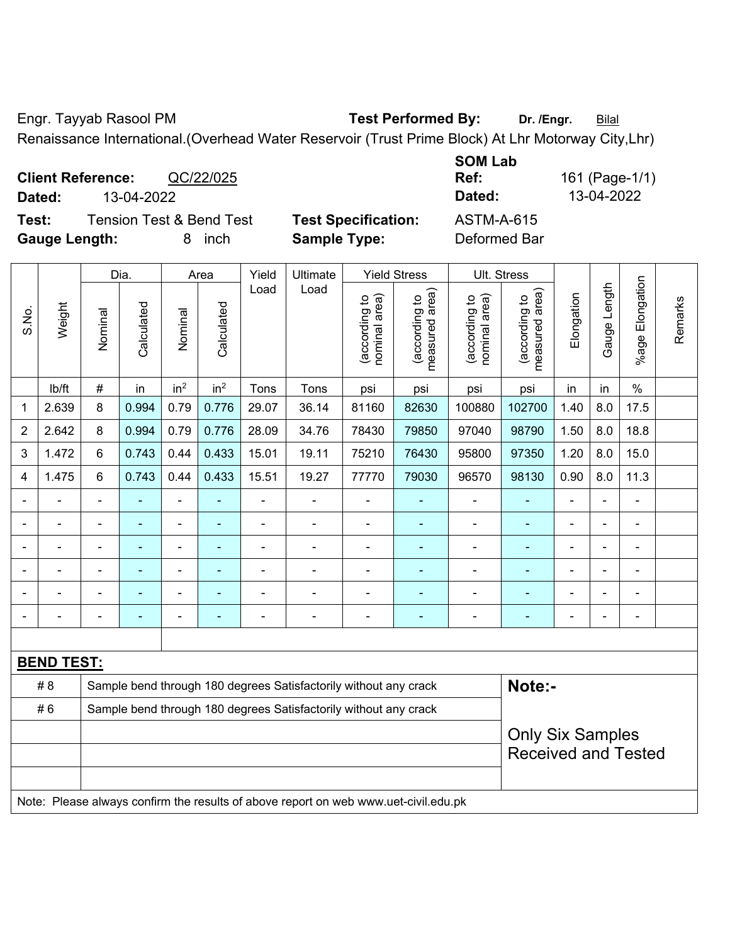Engr. Tayyab Rasool PM **Test Performed By:** Dr. /Engr. **Bilal** 

Renaissance International.(Overhead Water Reservoir (Trust Prime Block) At Lhr Motorway City,Lhr)

**Client Reference:** QC/22/025 **Dated:** 13-04-2022 **Dated:** 13-04-2022 **Test:** Tension Test & Bend Test **Test Specification:** ASTM-A-615

**Gauge Length:** 8 inch **Sample Type:** Deformed Bar

**SOM Lab** 

|                |                   |                | Dia.           |                 | Area            | Yield          | <b>Yield Stress</b>                                                                 |                                | Ult. Stress                     |                                |                                             |                |                |                       |         |
|----------------|-------------------|----------------|----------------|-----------------|-----------------|----------------|-------------------------------------------------------------------------------------|--------------------------------|---------------------------------|--------------------------------|---------------------------------------------|----------------|----------------|-----------------------|---------|
| S.No.          | Weight            | Nominal        | Calculated     | Nominal         | Calculated      | Load           | Load                                                                                | nominal area)<br>(according to | (according to<br>measured area) | (according to<br>nominal area) | (according to<br>measured area)<br>measured | Elongation     | Gauge Length   | Elongation<br>$%$ age | Remarks |
|                | lb/ft             | #              | in             | in <sup>2</sup> | in <sup>2</sup> | Tons           | Tons                                                                                | psi                            | psi                             | psi                            | psi                                         | in             | in             | $\%$                  |         |
| 1              | 2.639             | 8              | 0.994          | 0.79            | 0.776           | 29.07          | 36.14                                                                               | 81160                          | 82630                           | 100880                         | 102700                                      | 1.40           | 8.0            | 17.5                  |         |
| $\overline{2}$ | 2.642             | 8              | 0.994          | 0.79            | 0.776           | 28.09          | 34.76                                                                               | 78430                          | 79850                           | 97040                          | 98790                                       | 1.50           | 8.0            | 18.8                  |         |
| 3              | 1.472             | 6              | 0.743          | 0.44            | 0.433           | 15.01          | 19.11                                                                               | 75210                          | 76430                           | 95800                          | 97350                                       | 1.20           | 8.0            | 15.0                  |         |
| 4              | 1.475             | 6              | 0.743          | 0.44            | 0.433           | 15.51          | 19.27                                                                               | 77770                          | 79030                           | 96570                          | 98130                                       | 0.90           | 8.0            | 11.3                  |         |
|                |                   |                |                | $\blacksquare$  |                 |                | ä,                                                                                  |                                |                                 |                                |                                             |                |                | $\blacksquare$        |         |
|                |                   |                | $\blacksquare$ | ÷,              | ٠               | ä,             | ä,                                                                                  | ä,                             | ۰                               | $\blacksquare$                 | $\blacksquare$                              | ä,             | $\blacksquare$ | $\blacksquare$        |         |
|                |                   | $\blacksquare$ | $\blacksquare$ | $\blacksquare$  | $\blacksquare$  | $\blacksquare$ | ÷                                                                                   | $\blacksquare$                 |                                 | $\blacksquare$                 | $\blacksquare$                              | $\blacksquare$ | $\blacksquare$ | $\blacksquare$        |         |
|                |                   | Ē,             | $\blacksquare$ | $\blacksquare$  |                 | $\blacksquare$ |                                                                                     |                                |                                 |                                | ۰                                           |                |                | $\blacksquare$        |         |
|                |                   |                |                | $\blacksquare$  |                 |                | $\blacksquare$                                                                      |                                |                                 |                                | ۰                                           |                |                |                       |         |
|                |                   |                |                | ÷,              | ۰               | $\overline{a}$ | $\blacksquare$                                                                      | $\blacksquare$                 | ۰                               | $\overline{a}$                 | ۰                                           | $\blacksquare$ | $\blacksquare$ | $\blacksquare$        |         |
|                |                   |                |                |                 |                 |                |                                                                                     |                                |                                 |                                |                                             |                |                |                       |         |
|                | <b>BEND TEST:</b> |                |                |                 |                 |                |                                                                                     |                                |                                 |                                |                                             |                |                |                       |         |
|                | # 8               |                |                |                 |                 |                | Sample bend through 180 degrees Satisfactorily without any crack                    |                                |                                 |                                | Note:-                                      |                |                |                       |         |
|                | #6                |                |                |                 |                 |                | Sample bend through 180 degrees Satisfactorily without any crack                    |                                |                                 |                                |                                             |                |                |                       |         |
|                |                   |                |                |                 |                 |                |                                                                                     |                                |                                 |                                | <b>Only Six Samples</b>                     |                |                |                       |         |
|                |                   |                |                |                 |                 |                | <b>Received and Tested</b>                                                          |                                |                                 |                                |                                             |                |                |                       |         |
|                |                   |                |                |                 |                 |                |                                                                                     |                                |                                 |                                |                                             |                |                |                       |         |
|                |                   |                |                |                 |                 |                | Note: Please always confirm the results of above report on web www.uet-civil.edu.pk |                                |                                 |                                |                                             |                |                |                       |         |

**Ref:** 161 (Page-1/1)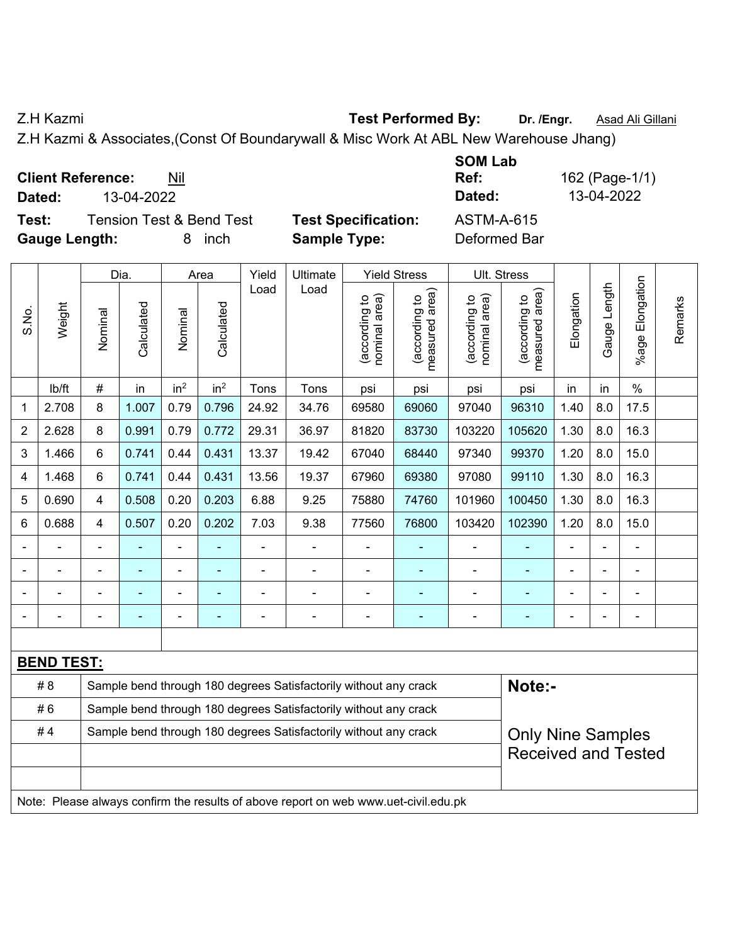Z.H Kazmi **Test Performed By: Dr. /Engr.** Asad Ali Gillani

Z.H Kazmi & Associates,(Const Of Boundarywall & Misc Work At ABL New Warehouse Jhang)

**Client Reference:** Nil

**Dated:** 13-04-2022 **Dated:** 13-04-2022

**Test:** Tension Test & Bend Test **Test Specification:** ASTM-A-615 **Gauge Length:** 8 inch **Sample Type:** Deformed Bar

**SOM Lab Ref:** 162 (Page-1/1)

|                |                   | Dia.           |                | Area            | Yield                    | Ultimate       |                                                                  | <b>Yield Stress</b>            |                                    | Ult. Stress                    |                                    |                |                |                              |         |
|----------------|-------------------|----------------|----------------|-----------------|--------------------------|----------------|------------------------------------------------------------------|--------------------------------|------------------------------------|--------------------------------|------------------------------------|----------------|----------------|------------------------------|---------|
| S.No.          | Weight            | Nominal        | Calculated     | Nominal         | Calculated               | Load           | Load                                                             | nominal area)<br>(according to | area)<br>(according to<br>measured | nominal area)<br>(according to | area)<br>(according to<br>measured | Elongation     | Gauge Length   | Elongation<br>$%$ age        | Remarks |
|                | lb/ft             | #              | in             | in <sup>2</sup> | in <sup>2</sup>          | Tons           | Tons                                                             | psi                            | psi                                | psi                            | psi                                | in             | in             | $\%$                         |         |
| 1              | 2.708             | 8              | 1.007          | 0.79            | 0.796                    | 24.92          | 34.76                                                            | 69580                          | 69060                              | 97040                          | 96310                              | 1.40           | 8.0            | 17.5                         |         |
| 2              | 2.628             | 8              | 0.991          | 0.79            | 0.772                    | 29.31          | 36.97                                                            | 81820                          | 83730                              | 103220                         | 105620                             | 1.30           | 8.0            | 16.3                         |         |
| 3              | 1.466             | 6              | 0.741          | 0.44            | 0.431                    | 13.37          | 19.42                                                            | 67040                          | 68440                              | 97340                          | 99370                              | 1.20           | 8.0            | 15.0                         |         |
| 4              | 1.468             | 6              | 0.741          | 0.44            | 0.431                    | 13.56          | 19.37                                                            | 67960                          | 69380                              | 97080                          | 99110                              | 1.30           | 8.0            | 16.3                         |         |
| 5              | 0.690             | $\overline{4}$ | 0.508          | 0.20            | 0.203                    | 6.88           | 9.25                                                             | 75880                          | 74760                              | 101960                         | 100450                             | 1.30           | 8.0            | 16.3                         |         |
| 6              | 0.688             | 4              | 0.507          | 0.20            | 0.202                    | 7.03           | 9.38                                                             | 77560                          | 76800                              | 103420                         | 102390                             | 1.20           | 8.0            | 15.0                         |         |
| $\blacksquare$ |                   | $\blacksquare$ |                | $\blacksquare$  | $\overline{\phantom{a}}$ | $\blacksquare$ | ÷                                                                | $\blacksquare$                 | ٠                                  | ÷                              | $\blacksquare$                     | $\blacksquare$ | $\blacksquare$ | $\blacksquare$               |         |
|                |                   | $\blacksquare$ | ä,             | $\blacksquare$  | $\overline{\phantom{a}}$ | ä,             | ÷                                                                | $\blacksquare$                 | ۰                                  | ä,                             | $\blacksquare$                     | $\blacksquare$ |                | ÷,                           |         |
|                |                   |                |                |                 |                          |                |                                                                  |                                |                                    | $\blacksquare$                 | $\blacksquare$                     |                |                | $\blacksquare$               |         |
| $\blacksquare$ |                   | ٠              | $\blacksquare$ | ÷               | $\overline{\phantom{a}}$ | $\overline{a}$ | $\blacksquare$                                                   | $\overline{a}$                 | ۰                                  | $\overline{\phantom{0}}$       | ۰                                  | $\blacksquare$ | $\blacksquare$ | $\qquad \qquad \blacksquare$ |         |
|                |                   |                |                |                 |                          |                |                                                                  |                                |                                    |                                |                                    |                |                |                              |         |
|                | <b>BEND TEST:</b> |                |                |                 |                          |                |                                                                  |                                |                                    |                                |                                    |                |                |                              |         |
|                | # 8               |                |                |                 |                          |                | Sample bend through 180 degrees Satisfactorily without any crack |                                | Note:-                             |                                |                                    |                |                |                              |         |
|                | #6                |                |                |                 |                          |                | Sample bend through 180 degrees Satisfactorily without any crack |                                |                                    |                                |                                    |                |                |                              |         |
|                | #4                |                |                |                 |                          |                | Sample bend through 180 degrees Satisfactorily without any crack |                                |                                    |                                | <b>Only Nine Samples</b>           |                |                |                              |         |
|                |                   |                |                |                 |                          |                |                                                                  |                                |                                    |                                | <b>Received and Tested</b>         |                |                |                              |         |
|                |                   |                |                |                 |                          |                |                                                                  |                                |                                    |                                |                                    |                |                |                              |         |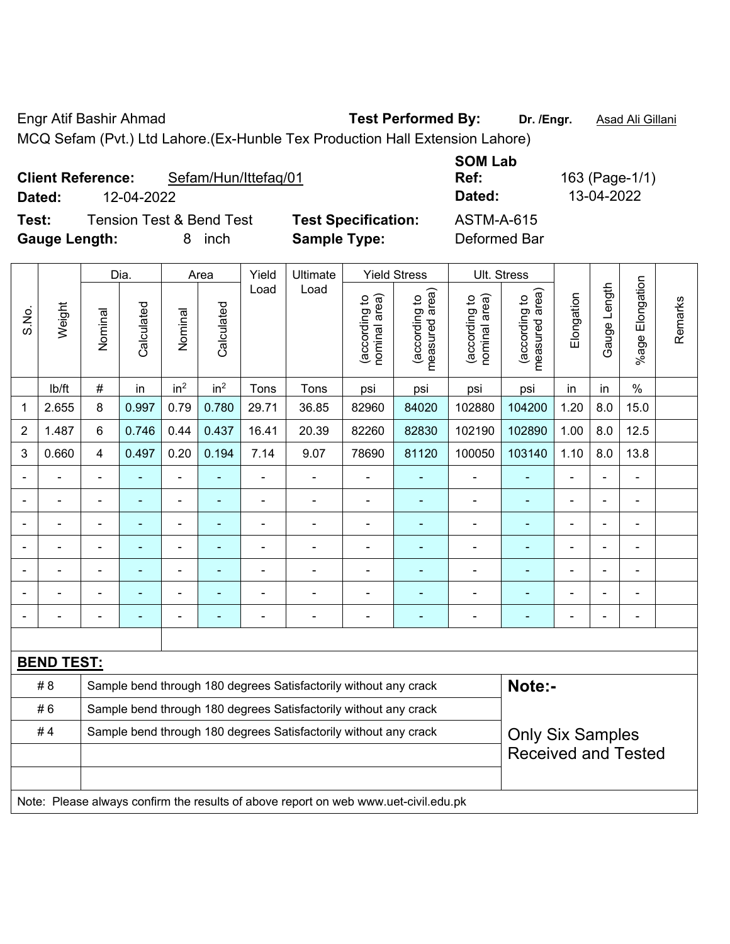Engr Atif Bashir Ahmad **Test Performed By: Dr. /Engr.** Asad Ali Gillani

MCQ Sefam (Pvt.) Ltd Lahore.(Ex-Hunble Tex Production Hall Extension Lahore)

|                      | <b>Client Reference:</b> | Sefam/Hun/Ittefag/01                |                            | <b>SOM Lab</b><br>Ref: | 163 (Page-1/1) |
|----------------------|--------------------------|-------------------------------------|----------------------------|------------------------|----------------|
| Dated:               | 12-04-2022               |                                     |                            | Dated:                 | 13-04-2022     |
| Test:                |                          | <b>Tension Test &amp; Bend Test</b> | <b>Test Specification:</b> | <b>ASTM-A-615</b>      |                |
| <b>Gauge Length:</b> |                          | inch                                | <b>Sample Type:</b>        | Deformed Bar           |                |

|                |                   |                | Dia.       |                 | Area            | Yield                                                            | Ultimate                                                                            |                                | <b>Yield Stress</b>                         |                                | Ult. Stress                                 |                |                |                       |         |
|----------------|-------------------|----------------|------------|-----------------|-----------------|------------------------------------------------------------------|-------------------------------------------------------------------------------------|--------------------------------|---------------------------------------------|--------------------------------|---------------------------------------------|----------------|----------------|-----------------------|---------|
| S.No.          | Weight            | Nominal        | Calculated | Nominal         | Calculated      | Load                                                             | Load                                                                                | nominal area)<br>(according to | (according to<br>neasured area)<br>measured | nominal area)<br>(according to | (according to<br>measured area)<br>measured | Elongation     | Gauge Length   | Elongation<br>$%$ age | Remarks |
|                | lb/ft             | #              | in         | in <sup>2</sup> | in <sup>2</sup> | Tons                                                             | Tons                                                                                | psi                            | psi                                         | psi                            | psi                                         | in             | in             | $\%$                  |         |
| 1              | 2.655             | 8              | 0.997      | 0.79            | 0.780           | 29.71                                                            | 36.85                                                                               | 82960                          | 84020                                       | 102880                         | 104200                                      | 1.20           | 8.0            | 15.0                  |         |
| $\overline{2}$ | 1.487             | 6              | 0.746      | 0.44            | 0.437           | 16.41                                                            | 20.39                                                                               | 82260                          | 82830                                       | 102190                         | 102890                                      | 1.00           | 8.0            | 12.5                  |         |
| 3              | 0.660             | 4              | 0.497      | 0.20            | 0.194           | 7.14                                                             | 9.07                                                                                | 78690                          | 81120                                       | 100050                         | 103140                                      | 1.10           | 8.0            | 13.8                  |         |
|                | ÷                 | $\blacksquare$ | ä,         | ÷,              |                 | ÷,                                                               | ÷,                                                                                  | $\blacksquare$                 | $\blacksquare$                              | $\blacksquare$                 | ÷                                           | $\blacksquare$ | $\overline{a}$ | $\blacksquare$        |         |
|                | $\frac{1}{2}$     | $\blacksquare$ | ÷,         | ÷,              |                 | $\blacksquare$                                                   | ÷                                                                                   | $\blacksquare$                 | $\blacksquare$                              | $\blacksquare$                 | ÷                                           | $\blacksquare$ | $\blacksquare$ | $\blacksquare$        |         |
|                | $\blacksquare$    | $\blacksquare$ | ÷          | ÷,              |                 | $\blacksquare$                                                   | $\blacksquare$                                                                      | L,                             | $\blacksquare$                              | $\blacksquare$                 | ۰                                           | $\overline{a}$ | $\blacksquare$ | $\blacksquare$        |         |
|                | $\overline{a}$    |                |            | $\blacksquare$  |                 |                                                                  | $\blacksquare$                                                                      | ä,                             | $\blacksquare$                              | $\blacksquare$                 | ۰                                           | Ē,             |                | ä,                    |         |
|                |                   |                |            |                 |                 |                                                                  |                                                                                     |                                |                                             |                                |                                             |                |                |                       |         |
|                |                   |                |            |                 |                 |                                                                  |                                                                                     | $\blacksquare$                 |                                             |                                |                                             |                |                |                       |         |
|                | -                 | $\blacksquare$ | ۰          | ۰               |                 | $\blacksquare$                                                   | $\blacksquare$                                                                      | $\overline{a}$                 | $\overline{\phantom{0}}$                    | $\blacksquare$                 | ۰                                           | $\blacksquare$ | $\blacksquare$ | $\blacksquare$        |         |
|                |                   |                |            |                 |                 |                                                                  |                                                                                     |                                |                                             |                                |                                             |                |                |                       |         |
|                | <b>BEND TEST:</b> |                |            |                 |                 |                                                                  |                                                                                     |                                |                                             |                                |                                             |                |                |                       |         |
|                | # 8               |                |            |                 |                 |                                                                  | Sample bend through 180 degrees Satisfactorily without any crack                    |                                |                                             |                                | Note:-                                      |                |                |                       |         |
|                | #6                |                |            |                 |                 |                                                                  | Sample bend through 180 degrees Satisfactorily without any crack                    |                                |                                             |                                |                                             |                |                |                       |         |
|                | #4                |                |            |                 |                 | Sample bend through 180 degrees Satisfactorily without any crack |                                                                                     | <b>Only Six Samples</b>        |                                             |                                |                                             |                |                |                       |         |
|                |                   |                |            |                 |                 |                                                                  |                                                                                     | <b>Received and Tested</b>     |                                             |                                |                                             |                |                |                       |         |
|                |                   |                |            |                 |                 |                                                                  |                                                                                     |                                |                                             |                                |                                             |                |                |                       |         |
|                |                   |                |            |                 |                 |                                                                  | Note: Please always confirm the results of above report on web www.uet-civil.edu.pk |                                |                                             |                                |                                             |                |                |                       |         |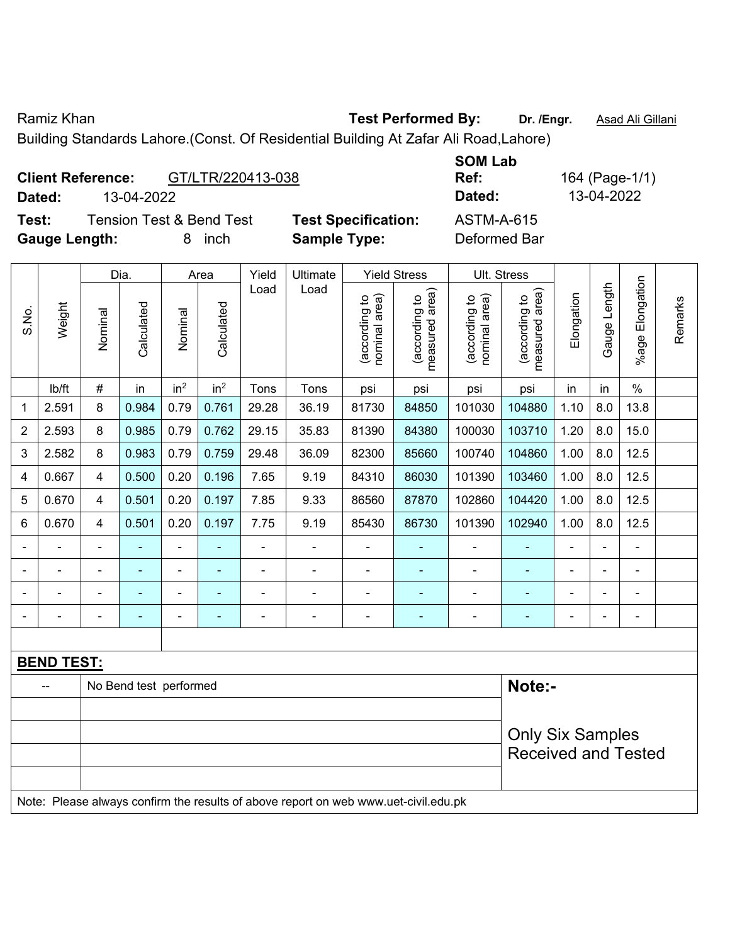Ramiz Khan **Test Performed By:** Dr. /Engr. **Asad Ali Gillani** Cambridge Control of the Manus Control of the Manus

Building Standards Lahore.(Const. Of Residential Building At Zafar Ali Road,Lahore)

| <b>Client Reference:</b> |            |     | GT/LTR/220413-038 |  |
|--------------------------|------------|-----|-------------------|--|
| Dated:                   | 13-04-2022 |     |                   |  |
| $\sim$                   |            | . – |                   |  |

**Test:** Tension Test & Bend Test **Test Specification:** ASTM-A-615 **Gauge Length:** 8 inch **Sample Type:** Deformed Bar

**SOM Lab Ref:** 164 (Page-1/1) **Dated:** 13-04-2022 **Dated:** 13-04-2022

|                |                   |                          | Dia.                   |                          | Area                     | Yield          | Ultimate                                                                            |                                | <b>Yield Stress</b>             | Ult. Stress                    |                                 |                |                |                          |         |
|----------------|-------------------|--------------------------|------------------------|--------------------------|--------------------------|----------------|-------------------------------------------------------------------------------------|--------------------------------|---------------------------------|--------------------------------|---------------------------------|----------------|----------------|--------------------------|---------|
| S.No.          | Weight            | Nominal                  | Calculated             | Nominal                  | Calculated               | Load           | Load                                                                                | nominal area)<br>(according to | (according to<br>measured area) | nominal area)<br>(according to | (according to<br>measured area) | Elongation     | Gauge Length   | Elongation<br>%age       | Remarks |
|                | lb/ft             | $\#$                     | in                     | in <sup>2</sup>          | in <sup>2</sup>          | Tons           | Tons                                                                                | psi                            | psi                             | psi                            | psi                             | in             | in             | $\%$                     |         |
| 1              | 2.591             | 8                        | 0.984                  | 0.79                     | 0.761                    | 29.28          | 36.19                                                                               | 81730                          | 84850                           | 101030                         | 104880                          | 1.10           | 8.0            | 13.8                     |         |
| 2              | 2.593             | 8                        | 0.985                  | 0.79                     | 0.762                    | 29.15          | 35.83                                                                               | 81390                          | 84380                           | 100030                         | 103710                          | 1.20           | 8.0            | 15.0                     |         |
| 3              | 2.582             | 8                        | 0.983                  | 0.79                     | 0.759                    | 29.48          | 36.09                                                                               | 82300                          | 85660                           | 100740                         | 104860                          | 1.00           | 8.0            | 12.5                     |         |
| 4              | 0.667             | $\overline{\mathbf{4}}$  | 0.500                  | 0.20                     | 0.196                    | 7.65           | 9.19                                                                                | 84310                          | 86030                           | 101390                         | 103460                          | 1.00           | 8.0            | 12.5                     |         |
| 5              | 0.670             | $\overline{4}$           | 0.501                  | 0.20                     | 0.197                    | 7.85           | 9.33                                                                                | 86560                          | 87870                           | 102860                         | 104420                          | 1.00           | 8.0            | 12.5                     |         |
| 6              | 0.670             | $\overline{4}$           | 0.501                  | 0.20                     | 0.197                    | 7.75           | 9.19                                                                                | 85430                          | 86730                           | 101390                         | 102940                          | 1.00           | 8.0            | 12.5                     |         |
|                |                   |                          |                        |                          |                          |                | ÷.                                                                                  |                                |                                 |                                |                                 |                |                |                          |         |
| $\blacksquare$ |                   | $\overline{\phantom{0}}$ | ۰                      | $\overline{\phantom{a}}$ | $\blacksquare$           | $\blacksquare$ |                                                                                     | $\blacksquare$                 | ٠                               | $\blacksquare$                 | $\blacksquare$                  | ٠              | ۰              | $\overline{\phantom{a}}$ |         |
|                |                   | $\blacksquare$           | ÷,                     | $\blacksquare$           | $\blacksquare$           | Ē,             | ÷,                                                                                  | $\blacksquare$                 | ٠                               | $\blacksquare$                 | $\overline{\phantom{0}}$        | $\blacksquare$ | $\blacksquare$ | $\blacksquare$           |         |
|                |                   | ÷                        | ÷,                     | ÷,                       | $\overline{\phantom{a}}$ | Ĭ.             | ä,                                                                                  | $\blacksquare$                 | ä,                              | $\blacksquare$                 | ٠                               | L,             |                | ÷,                       |         |
|                |                   |                          |                        |                          |                          |                |                                                                                     |                                |                                 |                                |                                 |                |                |                          |         |
|                | <b>BEND TEST:</b> |                          |                        |                          |                          |                |                                                                                     |                                |                                 |                                |                                 |                |                |                          |         |
|                |                   |                          | No Bend test performed |                          |                          |                |                                                                                     |                                |                                 |                                | Note:-                          |                |                |                          |         |
|                |                   |                          |                        |                          |                          |                |                                                                                     |                                |                                 |                                |                                 |                |                |                          |         |
|                |                   |                          |                        |                          |                          |                | <b>Only Six Samples</b>                                                             |                                |                                 |                                |                                 |                |                |                          |         |
|                |                   |                          |                        |                          |                          |                |                                                                                     |                                |                                 |                                | <b>Received and Tested</b>      |                |                |                          |         |
|                |                   |                          |                        |                          |                          |                |                                                                                     |                                |                                 |                                |                                 |                |                |                          |         |
|                |                   |                          |                        |                          |                          |                | Note: Please always confirm the results of above report on web www.uet-civil.edu.pk |                                |                                 |                                |                                 |                |                |                          |         |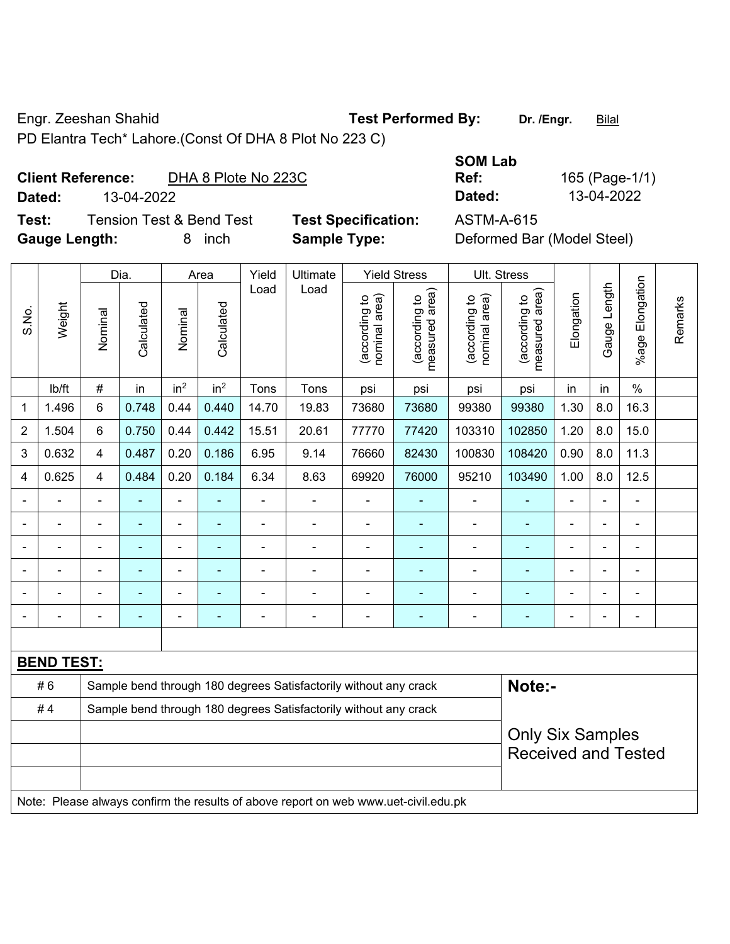Engr. Zeeshan Shahid **Test Performed By: Dr. /Engr.** Bilal

PD Elantra Tech\* Lahore.(Const Of DHA 8 Plot No 223 C)

## **Client Reference:** DHA 8 Plote No 223C

**Test:** Tension Test & Bend Test **Test Specification:** ASTM-A-615 **Gauge Length:** 8 inch **Sample Type:** Deformed Bar (Model Steel)

**SOM Lab Ref:** 165 (Page-1/1) **Dated:** 13-04-2022 **Dated:** 13-04-2022

|                |                   |                         | Dia.                    |                 | Area            | Yield          | Ultimate                                                                            |                                | <b>Yield Stress</b>             |                                | Ult. Stress                     |                |                          |                              |         |
|----------------|-------------------|-------------------------|-------------------------|-----------------|-----------------|----------------|-------------------------------------------------------------------------------------|--------------------------------|---------------------------------|--------------------------------|---------------------------------|----------------|--------------------------|------------------------------|---------|
| S.No.          | Weight            | Nominal                 | Calculated              | Nominal         | Calculated      | Load           | Load                                                                                | nominal area)<br>(according to | (according to<br>measured area) | (according to<br>nominal area) | (according to<br>measured area) | Elongation     | Gauge Length             | Elongation<br>$%$ age $ $    | Remarks |
|                | lb/ft             | $\#$                    | in                      | in <sup>2</sup> | in <sup>2</sup> | Tons           | Tons                                                                                | psi                            | psi                             | psi                            | psi                             | in             | in                       | $\%$                         |         |
| 1              | 1.496             | 6                       | 0.748                   | 0.44            | 0.440           | 14.70          | 19.83                                                                               | 73680                          | 73680                           | 99380                          | 99380                           | 1.30           | 8.0                      | 16.3                         |         |
| $\overline{2}$ | 1.504             | 6                       | 0.750                   | 0.44            | 0.442           | 15.51          | 20.61                                                                               | 77770                          | 77420                           | 103310                         | 102850                          | 1.20           | 8.0                      | 15.0                         |         |
| 3              | 0.632             | $\overline{\mathbf{4}}$ | 0.487                   | 0.20            | 0.186           | 6.95           | 9.14                                                                                | 76660                          | 82430                           | 100830                         | 108420                          | 0.90           | 8.0                      | 11.3                         |         |
| 4              | 0.625             | 4                       | 0.484                   | 0.20            | 0.184           | 6.34           | 8.63                                                                                | 69920                          | 76000                           | 95210                          | 103490                          | 1.00           | 8.0                      | 12.5                         |         |
|                | ä,                |                         | $\blacksquare$          | ÷,              |                 | $\blacksquare$ | $\blacksquare$                                                                      | $\blacksquare$                 | $\overline{\phantom{a}}$        | $\blacksquare$                 | ۰                               | ä,             | $\blacksquare$           | ÷,                           |         |
|                |                   |                         | ٠                       | ÷               |                 | $\blacksquare$ | $\overline{\phantom{a}}$                                                            | $\blacksquare$                 | ÷                               | $\blacksquare$                 | ۰                               | ÷              | $\blacksquare$           | $\qquad \qquad \blacksquare$ |         |
|                | $\blacksquare$    | $\blacksquare$          | ÷.                      | $\blacksquare$  | $\blacksquare$  | ä,             | $\blacksquare$                                                                      | $\blacksquare$                 | $\blacksquare$                  | ä,                             | $\blacksquare$                  | $\blacksquare$ | $\overline{\phantom{a}}$ | $\blacksquare$               |         |
|                |                   |                         | $\blacksquare$          | $\blacksquare$  |                 |                |                                                                                     | $\blacksquare$                 |                                 |                                |                                 |                |                          | ä,                           |         |
|                |                   |                         |                         | $\blacksquare$  |                 |                |                                                                                     | $\blacksquare$                 |                                 |                                |                                 |                |                          | ÷                            |         |
|                |                   |                         |                         | $\overline{a}$  |                 |                | $\overline{\phantom{0}}$                                                            | $\blacksquare$                 | ÷                               | $\blacksquare$                 | ۰                               |                |                          | $\blacksquare$               |         |
|                |                   |                         |                         |                 |                 |                |                                                                                     |                                |                                 |                                |                                 |                |                          |                              |         |
|                | <b>BEND TEST:</b> |                         |                         |                 |                 |                |                                                                                     |                                |                                 |                                |                                 |                |                          |                              |         |
|                | #6                |                         |                         |                 |                 |                | Sample bend through 180 degrees Satisfactorily without any crack                    |                                |                                 |                                | Note:-                          |                |                          |                              |         |
|                | #4                |                         |                         |                 |                 |                | Sample bend through 180 degrees Satisfactorily without any crack                    |                                |                                 |                                |                                 |                |                          |                              |         |
|                |                   |                         | <b>Only Six Samples</b> |                 |                 |                |                                                                                     |                                |                                 |                                |                                 |                |                          |                              |         |
|                |                   |                         |                         |                 |                 |                |                                                                                     |                                |                                 |                                | <b>Received and Tested</b>      |                |                          |                              |         |
|                |                   |                         |                         |                 |                 |                | Note: Please always confirm the results of above report on web www.uet-civil.edu.pk |                                |                                 |                                |                                 |                |                          |                              |         |